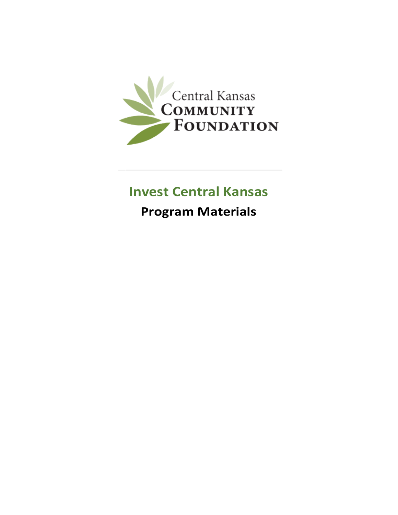

### **Invest Central Kansas**

**Program Materials**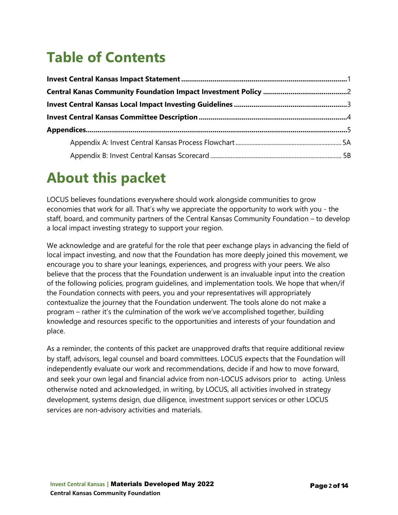# **Table of Contents**

### **About this packet**

LOCUS believes foundations everywhere should work alongside communities to grow economies that work for all. That's why we appreciate the opportunity to work with you - the staff, board, and community partners of the Central Kansas Community Foundation – to develop a local impact investing strategy to support your region.

We acknowledge and are grateful for the role that peer exchange plays in advancing the field of local impact investing, and now that the Foundation has more deeply joined this movement, we encourage you to share your leanings, experiences, and progress with your peers. We also believe that the process that the Foundation underwent is an invaluable input into the creation of the following policies, program guidelines, and implementation tools. We hope that when/if the Foundation connects with peers, you and your representatives will appropriately contextualize the journey that the Foundation underwent. The tools alone do not make a program – rather it's the culmination of the work we've accomplished together, building knowledge and resources specific to the opportunities and interests of your foundation and place.

As a reminder, the contents of this packet are unapproved drafts that require additional review by staff, advisors, legal counsel and board committees. LOCUS expects that the Foundation will independently evaluate our work and recommendations, decide if and how to move forward, and seek your own legal and financial advice from non-LOCUS advisors prior to acting. Unless otherwise noted and acknowledged, in writing, by LOCUS, all activities involved in strategy development, systems design, due diligence, investment support services or other LOCUS services are non-advisory activities and materials.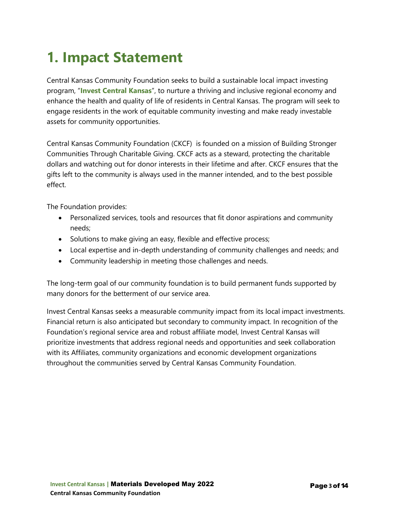## **1. Impact Statement**

Central Kansas Community Foundation seeks to build a sustainable local impact investing program, "**Invest Central Kansas**", to nurture a thriving and inclusive regional economy and enhance the health and quality of life of residents in Central Kansas. The program will seek to engage residents in the work of equitable community investing and make ready investable assets for community opportunities.

Central Kansas Community Foundation (CKCF) is founded on a mission of Building Stronger Communities Through Charitable Giving. CKCF acts as a steward, protecting the charitable dollars and watching out for donor interests in their lifetime and after. CKCF ensures that the gifts left to the community is always used in the manner intended, and to the best possible effect.

The Foundation provides:

- Personalized services, tools and resources that fit donor aspirations and community needs;
- Solutions to make giving an easy, flexible and effective process;
- Local expertise and in-depth understanding of community challenges and needs; and
- Community leadership in meeting those challenges and needs.

The long-term goal of our community foundation is to build permanent funds supported by many donors for the betterment of our service area.

Invest Central Kansas seeks a measurable community impact from its local impact investments. Financial return is also anticipated but secondary to community impact. In recognition of the Foundation's regional service area and robust affiliate model, Invest Central Kansas will prioritize investments that address regional needs and opportunities and seek collaboration with its Affiliates, community organizations and economic development organizations throughout the communities served by Central Kansas Community Foundation.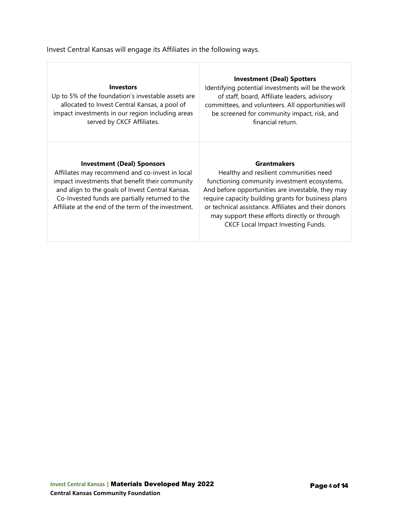#### Invest Central Kansas will engage its Affiliates in the following ways.

| <b>Investors</b><br>Up to 5% of the foundation's investable assets are<br>allocated to Invest Central Kansas, a pool of<br>impact investments in our region including areas<br>served by CKCF Affiliates.                                                                                             | <b>Investment (Deal) Spotters</b><br>Identifying potential investments will be the work<br>of staff, board, Affiliate leaders, advisory<br>committees, and volunteers. All opportunities will<br>be screened for community impact, risk, and<br>financial return.                                                                                                              |
|-------------------------------------------------------------------------------------------------------------------------------------------------------------------------------------------------------------------------------------------------------------------------------------------------------|--------------------------------------------------------------------------------------------------------------------------------------------------------------------------------------------------------------------------------------------------------------------------------------------------------------------------------------------------------------------------------|
| <b>Investment (Deal) Sponsors</b><br>Affiliates may recommend and co-invest in local<br>impact investments that benefit their community<br>and align to the goals of Invest Central Kansas.<br>Co-Invested funds are partially returned to the<br>Affiliate at the end of the term of the investment. | <b>Grantmakers</b><br>Healthy and resilient communities need<br>functioning community investment ecosystems.<br>And before opportunities are investable, they may<br>require capacity building grants for business plans<br>or technical assistance. Affiliates and their donors<br>may support these efforts directly or through<br><b>CKCF Local Impact Investing Funds.</b> |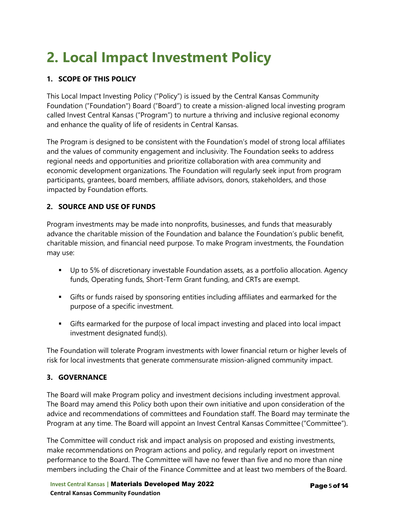# **2. Local Impact Investment Policy**

#### **1. SCOPE OF THIS POLICY**

This Local Impact Investing Policy ("Policy") is issued by the Central Kansas Community Foundation ("Foundation") Board ("Board") to create a mission-aligned local investing program called Invest Central Kansas ("Program") to nurture a thriving and inclusive regional economy and enhance the quality of life of residents in Central Kansas.

The Program is designed to be consistent with the Foundation's model of strong local affiliates and the values of community engagement and inclusivity. The Foundation seeks to address regional needs and opportunities and prioritize collaboration with area community and economic development organizations. The Foundation will regularly seek input from program participants, grantees, board members, affiliate advisors, donors, stakeholders, and those impacted by Foundation efforts.

#### **2. SOURCE AND USE OF FUNDS**

Program investments may be made into nonprofits, businesses, and funds that measurably advance the charitable mission of the Foundation and balance the Foundation's public benefit, charitable mission, and financial need purpose. To make Program investments, the Foundation may use:

- Up to 5% of discretionary investable Foundation assets, as a portfolio allocation. Agency funds, Operating funds, Short-Term Grant funding, and CRTs are exempt.
- Gifts or funds raised by sponsoring entities including affiliates and earmarked for the purpose of a specific investment.
- Gifts earmarked for the purpose of local impact investing and placed into local impact investment designated fund(s).

The Foundation will tolerate Program investments with lower financial return or higher levels of risk for local investments that generate commensurate mission-aligned community impact.

#### **3. GOVERNANCE**

The Board will make Program policy and investment decisions including investment approval. The Board may amend this Policy both upon their own initiative and upon consideration of the advice and recommendations of committees and Foundation staff. The Board may terminate the Program at any time. The Board will appoint an Invest Central Kansas Committee ("Committee").

The Committee will conduct risk and impact analysis on proposed and existing investments, make recommendations on Program actions and policy, and regularly report on investment performance to the Board. The Committee will have no fewer than five and no more than nine members including the Chair of the Finance Committee and at least two members of the Board.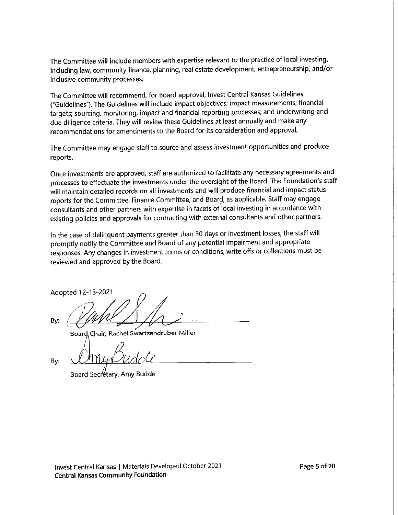The Committee will include members with expertise relevant to the practice of local investing, including law, community finance, planning, real estate development, entrepreneurship, and/or inclusive community processes.

The Committee will recommend, for Board approval, Invest Central Kansas Guidelines ("Guidelines"). The Guidelines will include impact objectives; impact measurements; financial targets; sourcing, monitoring, impact and financial reporting processes; and underwriting and due diligence criteria. They will review these Guidelines at least annually and make any recommendations for amendments to the Board for its consideration and approval.

The Committee may engage staff to source and assess investment opportunities and produce reports.

Once investments are approved, staff are authorized to facilitate any necessary agreements and processes to effectuate the investments under the oversight of the Board. The Foundation's staff will maintain detailed records on all investments and will produce financial and impact status reports for the Committee, Finance Committee, and Board, as applicable. Staff may engage consultants and other partners with expertise in facets of local investing in accordance with existing policies and approvals for contracting with external consultants and other partners.

In the case of delinguent payments greater than 30 days or investment losses, the staff will promptly notify the Committee and Board of any potential impairment and appropriate responses. Any changes in investment terms or conditions, write offs or collections must be reviewed and approved by the Board.

Adopted 12-13-2021

By:

Board Chair, Rachel Swartzendruber Miller

By:

Board Secretary, Amy Budde

Invest Central Kansas | Materials Developed October 2021 **Central Kansas Community Foundation**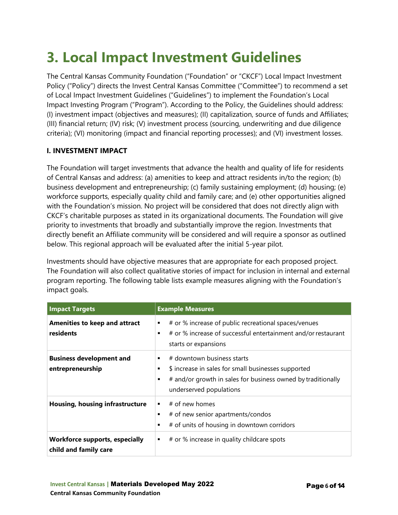## **3. Local Impact Investment Guidelines**

The Central Kansas Community Foundation ("Foundation" or "CKCF") Local Impact Investment Policy ("Policy") directs the Invest Central Kansas Committee ("Committee") to recommend a set of Local Impact Investment Guidelines ("Guidelines") to implement the Foundation's Local Impact Investing Program ("Program"). According to the Policy, the Guidelines should address: (I) investment impact (objectives and measures); (II) capitalization, source of funds and Affiliates; (III) financial return; (IV) risk; (V) investment process (sourcing, underwriting and due diligence criteria); (VI) monitoring (impact and financial reporting processes); and (VI) investment losses.

#### **I. INVESTMENT IMPACT**

The Foundation will target investments that advance the health and quality of life for residents of Central Kansas and address: (a) amenities to keep and attract residents in/to the region; (b) business development and entrepreneurship; (c) family sustaining employment; (d) housing; (e) workforce supports, especially quality child and family care; and (e) other opportunities aligned with the Foundation's mission. No project will be considered that does not directly align with CKCF's charitable purposes as stated in its organizational documents. The Foundation will give priority to investments that broadly and substantially improve the region. Investments that directly benefit an Affiliate community will be considered and will require a sponsor as outlined below. This regional approach will be evaluated after the initial 5-year pilot.

Investments should have objective measures that are appropriate for each proposed project. The Foundation will also collect qualitative stories of impact for inclusion in internal and external program reporting. The following table lists example measures aligning with the Foundation's impact goals.

| <b>Impact Targets</b>                                          | <b>Example Measures</b>                                                                                                                                                           |
|----------------------------------------------------------------|-----------------------------------------------------------------------------------------------------------------------------------------------------------------------------------|
| <b>Amenities to keep and attract</b><br>residents              | # or % increase of public recreational spaces/venues<br>٠<br># or % increase of successful entertainment and/or restaurant<br>$\blacksquare$<br>starts or expansions              |
| <b>Business development and</b><br>entrepreneurship            | # downtown business starts<br>\$ increase in sales for small businesses supported<br># and/or growth in sales for business owned by traditionally<br>٠<br>underserved populations |
| Housing, housing infrastructure                                | # of new homes<br>٠<br># of new senior apartments/condos<br>٠<br># of units of housing in downtown corridors<br>$\blacksquare$                                                    |
| <b>Workforce supports, especially</b><br>child and family care | # or % increase in quality childcare spots<br>٠                                                                                                                                   |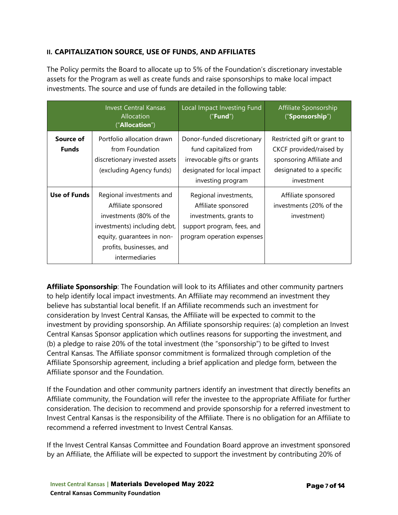#### **II. CAPITALIZATION SOURCE, USE OF FUNDS, AND AFFILIATES**

The Policy permits the Board to allocate up to 5% of the Foundation's discretionary investable assets for the Program as well as create funds and raise sponsorships to make local impact investments. The source and use of funds are detailed in the following table:

|                           | <b>Invest Central Kansas</b><br>Allocation<br>("Allocation")                                                                                                                           | Local Impact Investing Fund<br>("Fund")                                                                                                | Affiliate Sponsorship<br>("Sponsorship")                                                                                     |
|---------------------------|----------------------------------------------------------------------------------------------------------------------------------------------------------------------------------------|----------------------------------------------------------------------------------------------------------------------------------------|------------------------------------------------------------------------------------------------------------------------------|
| Source of<br><b>Funds</b> | Portfolio allocation drawn<br>from Foundation<br>discretionary invested assets<br>(excluding Agency funds)                                                                             | Donor-funded discretionary<br>fund capitalized from<br>irrevocable gifts or grants<br>designated for local impact<br>investing program | Restricted gift or grant to<br>CKCF provided/raised by<br>sponsoring Affiliate and<br>designated to a specific<br>investment |
| Use of Funds              | Regional investments and<br>Affiliate sponsored<br>investments (80% of the<br>investments) including debt,<br>equity, guarantees in non-<br>profits, businesses, and<br>intermediaries | Regional investments,<br>Affiliate sponsored<br>investments, grants to<br>support program, fees, and<br>program operation expenses     | Affiliate sponsored<br>investments (20% of the<br>investment)                                                                |

**Affiliate Sponsorship**: The Foundation will look to its Affiliates and other community partners to help identify local impact investments. An Affiliate may recommend an investment they believe has substantial local benefit. If an Affiliate recommends such an investment for consideration by Invest Central Kansas, the Affiliate will be expected to commit to the investment by providing sponsorship. An Affiliate sponsorship requires: (a) completion an Invest Central Kansas Sponsor application which outlines reasons for supporting the investment, and (b) a pledge to raise 20% of the total investment (the "sponsorship") to be gifted to Invest Central Kansas. The Affiliate sponsor commitment is formalized through completion of the Affiliate Sponsorship agreement, including a brief application and pledge form, between the Affiliate sponsor and the Foundation.

If the Foundation and other community partners identify an investment that directly benefits an Affiliate community, the Foundation will refer the investee to the appropriate Affiliate for further consideration. The decision to recommend and provide sponsorship for a referred investment to Invest Central Kansas is the responsibility of the Affiliate. There is no obligation for an Affiliate to recommend a referred investment to Invest Central Kansas.

If the Invest Central Kansas Committee and Foundation Board approve an investment sponsored by an Affiliate, the Affiliate will be expected to support the investment by contributing 20% of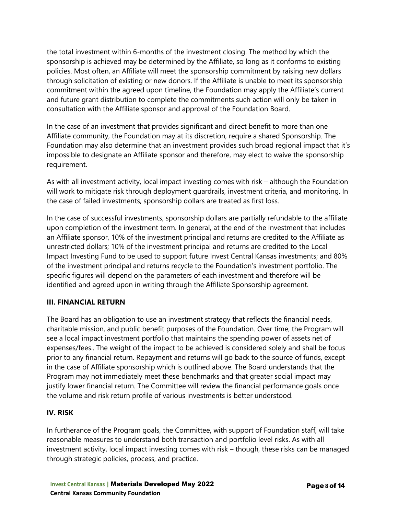the total investment within 6-months of the investment closing. The method by which the sponsorship is achieved may be determined by the Affiliate, so long as it conforms to existing policies. Most often, an Affiliate will meet the sponsorship commitment by raising new dollars through solicitation of existing or new donors. If the Affiliate is unable to meet its sponsorship commitment within the agreed upon timeline, the Foundation may apply the Affiliate's current and future grant distribution to complete the commitments such action will only be taken in consultation with the Affiliate sponsor and approval of the Foundation Board.

In the case of an investment that provides significant and direct benefit to more than one Affiliate community, the Foundation may at its discretion, require a shared Sponsorship. The Foundation may also determine that an investment provides such broad regional impact that it's impossible to designate an Affiliate sponsor and therefore, may elect to waive the sponsorship requirement.

As with all investment activity, local impact investing comes with risk – although the Foundation will work to mitigate risk through deployment guardrails, investment criteria, and monitoring. In the case of failed investments, sponsorship dollars are treated as first loss.

In the case of successful investments, sponsorship dollars are partially refundable to the affiliate upon completion of the investment term. In general, at the end of the investment that includes an Affiliate sponsor, 10% of the investment principal and returns are credited to the Affiliate as unrestricted dollars; 10% of the investment principal and returns are credited to the Local Impact Investing Fund to be used to support future Invest Central Kansas investments; and 80% of the investment principal and returns recycle to the Foundation's investment portfolio. The specific figures will depend on the parameters of each investment and therefore will be identified and agreed upon in writing through the Affiliate Sponsorship agreement.

#### **III. FINANCIAL RETURN**

The Board has an obligation to use an investment strategy that reflects the financial needs, charitable mission, and public benefit purposes of the Foundation. Over time, the Program will see a local impact investment portfolio that maintains the spending power of assets net of expenses/fees.. The weight of the impact to be achieved is considered solely and shall be focus prior to any financial return. Repayment and returns will go back to the source of funds, except in the case of Affiliate sponsorship which is outlined above. The Board understands that the Program may not immediately meet these benchmarks and that greater social impact may justify lower financial return. The Committee will review the financial performance goals once the volume and risk return profile of various investments is better understood.

#### **IV. RISK**

In furtherance of the Program goals, the Committee, with support of Foundation staff, will take reasonable measures to understand both transaction and portfolio level risks. As with all investment activity, local impact investing comes with risk – though, these risks can be managed through strategic policies, process, and practice.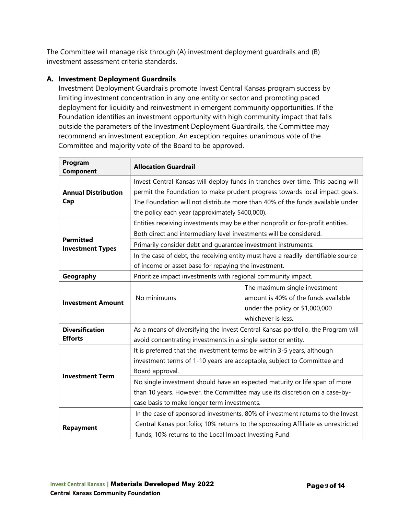The Committee will manage risk through (A) investment deployment guardrails and (B) investment assessment criteria standards.

#### **A. Investment Deployment Guardrails**

Investment Deployment Guardrails promote Invest Central Kansas program success by limiting investment concentration in any one entity or sector and promoting paced deployment for liquidity and reinvestment in emergent community opportunities. If the Foundation identifies an investment opportunity with high community impact that falls outside the parameters of the Investment Deployment Guardrails, the Committee may recommend an investment exception. An exception requires unanimous vote of the Committee and majority vote of the Board to be approved.

| Program<br>Component                        | <b>Allocation Guardrail</b>                                                       |                                                                               |  |
|---------------------------------------------|-----------------------------------------------------------------------------------|-------------------------------------------------------------------------------|--|
|                                             | Invest Central Kansas will deploy funds in tranches over time. This pacing will   |                                                                               |  |
| <b>Annual Distribution</b>                  |                                                                                   | permit the Foundation to make prudent progress towards local impact goals.    |  |
| Cap                                         |                                                                                   | The Foundation will not distribute more than 40% of the funds available under |  |
|                                             | the policy each year (approximately \$400,000).                                   |                                                                               |  |
|                                             | Entities receiving investments may be either nonprofit or for-profit entities.    |                                                                               |  |
|                                             | Both direct and intermediary level investments will be considered.                |                                                                               |  |
| <b>Permitted</b><br><b>Investment Types</b> | Primarily consider debt and quarantee investment instruments.                     |                                                                               |  |
|                                             | In the case of debt, the receiving entity must have a readily identifiable source |                                                                               |  |
|                                             | of income or asset base for repaying the investment.                              |                                                                               |  |
| Geography                                   | Prioritize impact investments with regional community impact.                     |                                                                               |  |
|                                             |                                                                                   | The maximum single investment                                                 |  |
| <b>Investment Amount</b>                    | No minimums                                                                       | amount is 40% of the funds available                                          |  |
|                                             |                                                                                   | under the policy or \$1,000,000                                               |  |
|                                             |                                                                                   | whichever is less.                                                            |  |
| <b>Diversification</b>                      | As a means of diversifying the Invest Central Kansas portfolio, the Program will  |                                                                               |  |
| <b>Efforts</b>                              | avoid concentrating investments in a single sector or entity.                     |                                                                               |  |
|                                             | It is preferred that the investment terms be within 3-5 years, although           |                                                                               |  |
|                                             | investment terms of 1-10 years are acceptable, subject to Committee and           |                                                                               |  |
| <b>Investment Term</b>                      | Board approval.                                                                   |                                                                               |  |
|                                             | No single investment should have an expected maturity or life span of more        |                                                                               |  |
|                                             | than 10 years. However, the Committee may use its discretion on a case-by-        |                                                                               |  |
|                                             | case basis to make longer term investments.                                       |                                                                               |  |
|                                             | In the case of sponsored investments, 80% of investment returns to the Invest     |                                                                               |  |
| <b>Repayment</b>                            | Central Kanas portfolio; 10% returns to the sponsoring Affiliate as unrestricted  |                                                                               |  |
|                                             | funds; 10% returns to the Local Impact Investing Fund                             |                                                                               |  |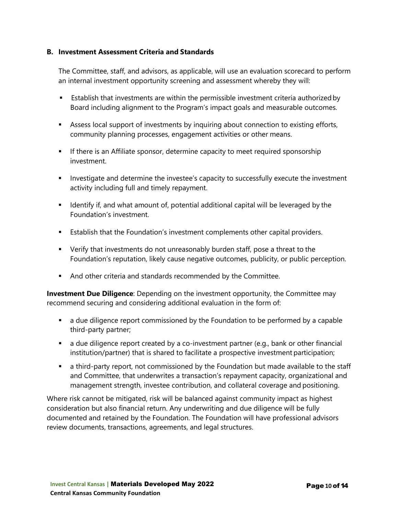#### **B. Investment Assessment Criteria and Standards**

The Committee, staff, and advisors, as applicable, will use an evaluation scorecard to perform an internal investment opportunity screening and assessment whereby they will:

- **E** Establish that investments are within the permissible investment criteria authorized by Board including alignment to the Program's impact goals and measurable outcomes.
- Assess local support of investments by inquiring about connection to existing efforts, community planning processes, engagement activities or other means.
- If there is an Affiliate sponsor, determine capacity to meet required sponsorship investment.
- **Investigate and determine the investee's capacity to successfully execute the investment** activity including full and timely repayment.
- **If all identify if, and what amount of, potential additional capital will be leveraged by the** Foundation's investment.
- **Establish that the Foundation's investment complements other capital providers.**
- Verify that investments do not unreasonably burden staff, pose a threat to the Foundation's reputation, likely cause negative outcomes, publicity, or public perception.
- And other criteria and standards recommended by the Committee.

**Investment Due Diligence**: Depending on the investment opportunity, the Committee may recommend securing and considering additional evaluation in the form of:

- a due diligence report commissioned by the Foundation to be performed by a capable third-party partner;
- a due diligence report created by a co-investment partner (e.g., bank or other financial institution/partner) that is shared to facilitate a prospective investment participation;
- a third-party report, not commissioned by the Foundation but made available to the staff and Committee, that underwrites a transaction's repayment capacity, organizational and management strength, investee contribution, and collateral coverage and positioning.

Where risk cannot be mitigated, risk will be balanced against community impact as highest consideration but also financial return. Any underwriting and due diligence will be fully documented and retained by the Foundation. The Foundation will have professional advisors review documents, transactions, agreements, and legal structures.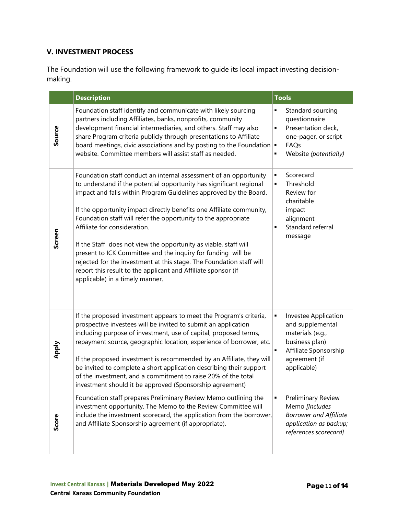#### **V. INVESTMENT PROCESS**

The Foundation will use the following framework to guide its local impact investing decisionmaking.

|        | <b>Description</b>                                                                                                                                                                                                                                                                                                                                                                                                                                                                                                                                                                                                                                                                                      | <b>Tools</b>                                                                                                                                               |
|--------|---------------------------------------------------------------------------------------------------------------------------------------------------------------------------------------------------------------------------------------------------------------------------------------------------------------------------------------------------------------------------------------------------------------------------------------------------------------------------------------------------------------------------------------------------------------------------------------------------------------------------------------------------------------------------------------------------------|------------------------------------------------------------------------------------------------------------------------------------------------------------|
| Source | Foundation staff identify and communicate with likely sourcing<br>partners including Affiliates, banks, nonprofits, community<br>development financial intermediaries, and others. Staff may also<br>share Program criteria publicly through presentations to Affiliate<br>board meetings, civic associations and by posting to the Foundation $\vert \bullet \vert$<br>website. Committee members will assist staff as needed.                                                                                                                                                                                                                                                                         | Standard sourcing<br>$\blacksquare$<br>questionnaire<br>Presentation deck,<br>$\blacksquare$<br>one-pager, or script<br>FAQs<br>Website (potentially)<br>٠ |
| Screen | Foundation staff conduct an internal assessment of an opportunity<br>to understand if the potential opportunity has significant regional<br>impact and falls within Program Guidelines approved by the Board.<br>If the opportunity impact directly benefits one Affiliate community,<br>Foundation staff will refer the opportunity to the appropriate<br>Affiliate for consideration.<br>If the Staff does not view the opportunity as viable, staff will<br>present to ICK Committee and the inquiry for funding will be<br>rejected for the investment at this stage. The Foundation staff will<br>report this result to the applicant and Affiliate sponsor (if<br>applicable) in a timely manner. | Scorecard<br>٠<br>Threshold<br>$\blacksquare$<br>Review for<br>charitable<br>impact<br>alignment<br>Standard referral<br>$\blacksquare$<br>message         |
| Apply  | If the proposed investment appears to meet the Program's criteria,<br>prospective investees will be invited to submit an application<br>including purpose of investment, use of capital, proposed terms,<br>repayment source, geographic location, experience of borrower, etc.<br>If the proposed investment is recommended by an Affiliate, they will<br>be invited to complete a short application describing their support<br>of the investment, and a commitment to raise 20% of the total<br>investment should it be approved (Sponsorship agreement)                                                                                                                                             | Investee Application<br>٠<br>and supplemental<br>materials (e.g.,<br>business plan)<br>Affiliate Sponsorship<br>agreement (if<br>applicable)               |
| Score  | Foundation staff prepares Preliminary Review Memo outlining the<br>investment opportunity. The Memo to the Review Committee will<br>include the investment scorecard, the application from the borrower,<br>and Affiliate Sponsorship agreement (if appropriate).                                                                                                                                                                                                                                                                                                                                                                                                                                       | <b>Preliminary Review</b><br>٠<br>Memo [Includes<br><b>Borrower and Affiliate</b><br>application as backup;<br>references scorecard]                       |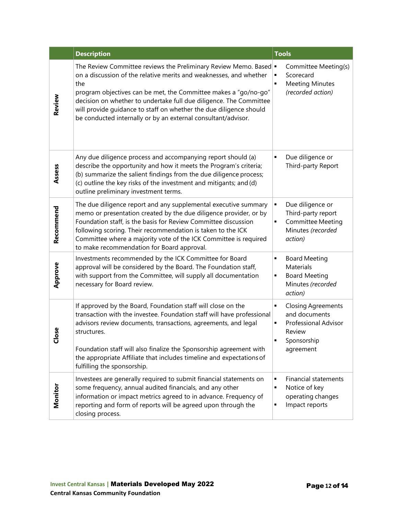|           | <b>Description</b>                                                                                                                                                                                                                                                                                                                                                                                                             | <b>Tools</b>                                                                                                                   |
|-----------|--------------------------------------------------------------------------------------------------------------------------------------------------------------------------------------------------------------------------------------------------------------------------------------------------------------------------------------------------------------------------------------------------------------------------------|--------------------------------------------------------------------------------------------------------------------------------|
| Review    | The Review Committee reviews the Preliminary Review Memo. Based =<br>on a discussion of the relative merits and weaknesses, and whether<br>the<br>program objectives can be met, the Committee makes a "go/no-go"<br>decision on whether to undertake full due diligence. The Committee<br>will provide guidance to staff on whether the due diligence should<br>be conducted internally or by an external consultant/advisor. | Committee Meeting(s)<br>Scorecard<br><b>Meeting Minutes</b><br>٠<br>(recorded action)                                          |
| Assess    | Any due diligence process and accompanying report should (a)<br>describe the opportunity and how it meets the Program's criteria;<br>(b) summarize the salient findings from the due diligence process;<br>(c) outline the key risks of the investment and mitigants; and (d)<br>outline preliminary investment terms.                                                                                                         | Due diligence or<br>٠<br>Third-party Report                                                                                    |
| Recommend | The due diligence report and any supplemental executive summary<br>memo or presentation created by the due diligence provider, or by<br>Foundation staff, is the basis for Review Committee discussion<br>following scoring. Their recommendation is taken to the ICK<br>Committee where a majority vote of the ICK Committee is required<br>to make recommendation for Board approval.                                        | Due diligence or<br>٠<br>Third-party report<br><b>Committee Meeting</b><br>٠<br>Minutes (recorded<br>action)                   |
| Approve   | Investments recommended by the ICK Committee for Board<br>approval will be considered by the Board. The Foundation staff,<br>with support from the Committee, will supply all documentation<br>necessary for Board review.                                                                                                                                                                                                     | <b>Board Meeting</b><br>٠<br>Materials<br><b>Board Meeting</b><br>٠<br>Minutes (recorded<br>action)                            |
| 9so<br>ū  | If approved by the Board, Foundation staff will close on the<br>transaction with the investee. Foundation staff will have professional<br>advisors review documents, transactions, agreements, and legal<br>structures.<br>Foundation staff will also finalize the Sponsorship agreement with<br>the appropriate Affiliate that includes timeline and expectations of<br>fulfilling the sponsorship.                           | <b>Closing Agreements</b><br>٠<br>and documents<br><b>Professional Advisor</b><br>٠<br>Review<br>Sponsorship<br>٠<br>agreement |
| Monitor   | Investees are generally required to submit financial statements on<br>some frequency, annual audited financials, and any other<br>information or impact metrics agreed to in advance. Frequency of<br>reporting and form of reports will be agreed upon through the<br>closing process.                                                                                                                                        | <b>Financial statements</b><br>٠<br>Notice of key<br>٠<br>operating changes<br>Impact reports<br>٠                             |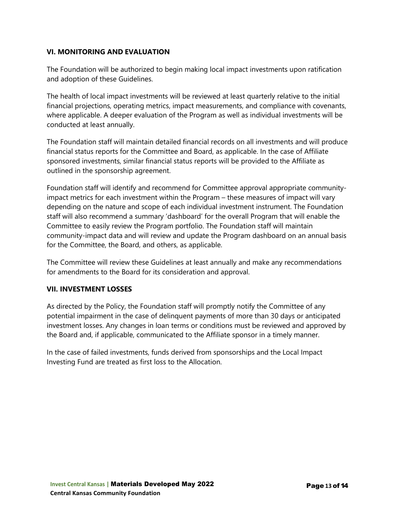#### **VI. MONITORING AND EVALUATION**

The Foundation will be authorized to begin making local impact investments upon ratification and adoption of these Guidelines.

The health of local impact investments will be reviewed at least quarterly relative to the initial financial projections, operating metrics, impact measurements, and compliance with covenants, where applicable. A deeper evaluation of the Program as well as individual investments will be conducted at least annually.

The Foundation staff will maintain detailed financial records on all investments and will produce financial status reports for the Committee and Board, as applicable. In the case of Affiliate sponsored investments, similar financial status reports will be provided to the Affiliate as outlined in the sponsorship agreement.

Foundation staff will identify and recommend for Committee approval appropriate communityimpact metrics for each investment within the Program – these measures of impact will vary depending on the nature and scope of each individual investment instrument. The Foundation staff will also recommend a summary 'dashboard' for the overall Program that will enable the Committee to easily review the Program portfolio. The Foundation staff will maintain community-impact data and will review and update the Program dashboard on an annual basis for the Committee, the Board, and others, as applicable.

The Committee will review these Guidelines at least annually and make any recommendations for amendments to the Board for its consideration and approval.

#### **VII. INVESTMENT LOSSES**

As directed by the Policy, the Foundation staff will promptly notify the Committee of any potential impairment in the case of delinquent payments of more than 30 days or anticipated investment losses. Any changes in loan terms or conditions must be reviewed and approved by the Board and, if applicable, communicated to the Affiliate sponsor in a timely manner.

In the case of failed investments, funds derived from sponsorships and the Local Impact Investing Fund are treated as first loss to the Allocation.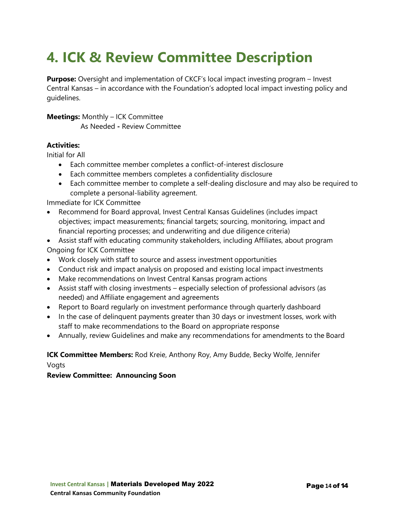### **4. ICK & Review Committee Description**

**Purpose:** Oversight and implementation of CKCF's local impact investing program – Invest Central Kansas – in accordance with the Foundation's adopted local impact investing policy and guidelines.

#### **Meetings:** Monthly – ICK Committee

As Needed **-** Review Committee

#### **Activities:**

Initial for All

- Each committee member completes a conflict-of-interest disclosure
- Each committee members completes a confidentiality disclosure
- Each committee member to complete a self-dealing disclosure and may also be required to complete a personal-liability agreement.

Immediate for ICK Committee

- Recommend for Board approval, Invest Central Kansas Guidelines (includes impact objectives; impact measurements; financial targets; sourcing, monitoring, impact and financial reporting processes; and underwriting and due diligence criteria)
- Assist staff with educating community stakeholders, including Affiliates, about program Ongoing for ICK Committee
- Work closely with staff to source and assess investment opportunities
- Conduct risk and impact analysis on proposed and existing local impact investments
- Make recommendations on Invest Central Kansas program actions
- Assist staff with closing investments especially selection of professional advisors (as needed) and Affiliate engagement and agreements
- Report to Board regularly on investment performance through quarterly dashboard
- In the case of delinquent payments greater than 30 days or investment losses, work with staff to make recommendations to the Board on appropriate response
- Annually, review Guidelines and make any recommendations for amendments to the Board

#### **ICK Committee Members:** Rod Kreie, Anthony Roy, Amy Budde, Becky Wolfe, Jennifer

Vogts

#### **Review Committee: Announcing Soon**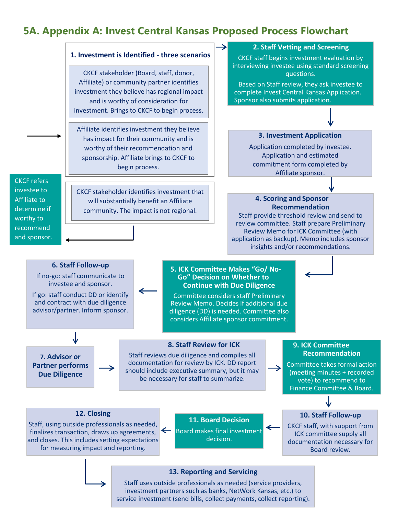### **5A. Appendix A: Invest Central Kansas Proposed Process Flowchart**



investment partners such as banks, NetWork Kansas, etc.) to service investment (send bills, collect payments, collect reporting).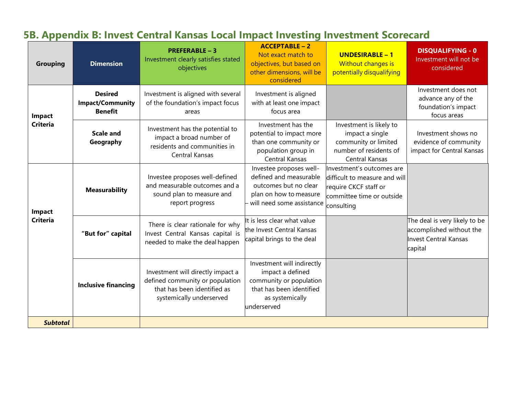### **5B. Appendix B: Invest Central Kansas Local Impact Investing Investment Scorecard**

| <b>Grouping</b>           | <b>Dimension</b>                                            | <b>PREFERABLE - 3</b><br>Investment clearly satisfies stated<br>objectives                                                      | <b>ACCEPTABLE-2</b><br>Not exact match to<br>objectives, but based on<br>other dimensions, will be<br>considered                        | <b>UNDESIRABLE - 1</b><br>Without changes is<br>potentially disqualifying                                                      | <b>DISQUALIFYING - 0</b><br>Investment will not be<br>considered                              |
|---------------------------|-------------------------------------------------------------|---------------------------------------------------------------------------------------------------------------------------------|-----------------------------------------------------------------------------------------------------------------------------------------|--------------------------------------------------------------------------------------------------------------------------------|-----------------------------------------------------------------------------------------------|
| Impact<br><b>Criteria</b> | <b>Desired</b><br><b>Impact/Community</b><br><b>Benefit</b> | Investment is aligned with several<br>of the foundation's impact focus<br>areas                                                 | Investment is aligned<br>with at least one impact<br>focus area                                                                         |                                                                                                                                | Investment does not<br>advance any of the<br>foundation's impact<br>focus areas               |
|                           | <b>Scale and</b><br>Geography                               | Investment has the potential to<br>impact a broad number of<br>residents and communities in<br>Central Kansas                   | Investment has the<br>potential to impact more<br>than one community or<br>population group in<br>Central Kansas                        | Investment is likely to<br>impact a single<br>community or limited<br>number of residents of<br>Central Kansas                 | Investment shows no<br>evidence of community<br>impact for Central Kansas                     |
| Impact<br><b>Criteria</b> | <b>Measurability</b>                                        | Investee proposes well-defined<br>and measurable outcomes and a<br>sound plan to measure and<br>report progress                 | Investee proposes well-<br>defined and measurable<br>outcomes but no clear<br>plan on how to measure<br>will need some assistance       | Investment's outcomes are<br>difficult to measure and will<br>require CKCF staff or<br>committee time or outside<br>consulting |                                                                                               |
|                           | "But for" capital                                           | There is clear rationale for why<br>Invest Central Kansas capital is<br>needed to make the deal happen                          | It is less clear what value<br>the Invest Central Kansas<br>capital brings to the deal                                                  |                                                                                                                                | The deal is very likely to be<br>accomplished without the<br>Invest Central Kansas<br>capital |
|                           | <b>Inclusive financing</b>                                  | Investment will directly impact a<br>defined community or population<br>that has been identified as<br>systemically underserved | Investment will indirectly<br>impact a defined<br>community or population<br>that has been identified<br>as systemically<br>underserved |                                                                                                                                |                                                                                               |
| <b>Subtotal</b>           |                                                             |                                                                                                                                 |                                                                                                                                         |                                                                                                                                |                                                                                               |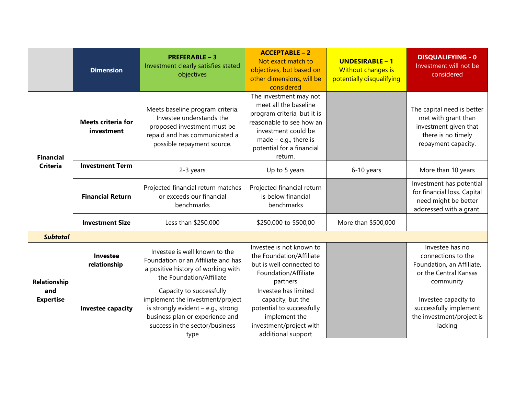|                                         | <b>Dimension</b>                        | <b>PREFERABLE - 3</b><br>Investment clearly satisfies stated<br>objectives                                                                                                        | <b>ACCEPTABLE - 2</b><br>Not exact match to<br>objectives, but based on<br>other dimensions, will be<br>considered                                                                                   | <b>UNDESIRABLE - 1</b><br>Without changes is<br>potentially disqualifying | <b>DISQUALIFYING - 0</b><br>Investment will not be<br>considered                                                        |
|-----------------------------------------|-----------------------------------------|-----------------------------------------------------------------------------------------------------------------------------------------------------------------------------------|------------------------------------------------------------------------------------------------------------------------------------------------------------------------------------------------------|---------------------------------------------------------------------------|-------------------------------------------------------------------------------------------------------------------------|
| <b>Financial</b><br><b>Criteria</b>     | <b>Meets criteria for</b><br>investment | Meets baseline program criteria.<br>Investee understands the<br>proposed investment must be<br>repaid and has communicated a<br>possible repayment source.                        | The investment may not<br>meet all the baseline<br>program criteria, but it is<br>reasonable to see how an<br>investment could be<br>$made - e.g., there is$<br>potential for a financial<br>return. |                                                                           | The capital need is better<br>met with grant than<br>investment given that<br>there is no timely<br>repayment capacity. |
|                                         | <b>Investment Term</b>                  | 2-3 years                                                                                                                                                                         | Up to 5 years                                                                                                                                                                                        | 6-10 years                                                                | More than 10 years                                                                                                      |
|                                         | <b>Financial Return</b>                 | Projected financial return matches<br>or exceeds our financial<br>benchmarks                                                                                                      | Projected financial return<br>is below financial<br>benchmarks                                                                                                                                       |                                                                           | Investment has potential<br>for financial loss. Capital<br>need might be better<br>addressed with a grant.              |
|                                         | <b>Investment Size</b>                  | Less than \$250,000                                                                                                                                                               | \$250,000 to \$500,00                                                                                                                                                                                | More than \$500,000                                                       |                                                                                                                         |
| <b>Subtotal</b>                         |                                         |                                                                                                                                                                                   |                                                                                                                                                                                                      |                                                                           |                                                                                                                         |
| Relationship<br>and<br><b>Expertise</b> | Investee<br>relationship                | Investee is well known to the<br>Foundation or an Affiliate and has<br>a positive history of working with<br>the Foundation/Affiliate                                             | Investee is not known to<br>the Foundation/Affiliate<br>but is well connected to<br>Foundation/Affiliate<br>partners                                                                                 |                                                                           | Investee has no<br>connections to the<br>Foundation, an Affiliate,<br>or the Central Kansas<br>community                |
|                                         | <b>Investee capacity</b>                | Capacity to successfully<br>implement the investment/project<br>is strongly evident $-$ e.g., strong<br>business plan or experience and<br>success in the sector/business<br>type | Investee has limited<br>capacity, but the<br>potential to successfully<br>implement the<br>investment/project with<br>additional support                                                             |                                                                           | Investee capacity to<br>successfully implement<br>the investment/project is<br>lacking                                  |